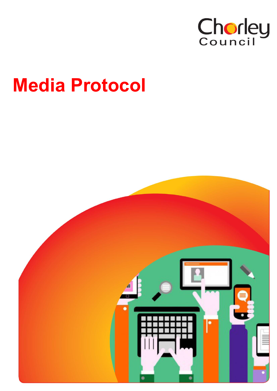

# **Media Protocol**

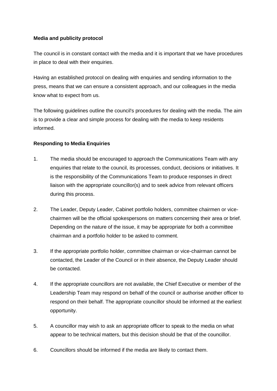## **Media and publicity protocol**

The council is in constant contact with the media and it is important that we have procedures in place to deal with their enquiries.

Having an established protocol on dealing with enquiries and sending information to the press, means that we can ensure a consistent approach, and our colleagues in the media know what to expect from us.

The following guidelines outline the council's procedures for dealing with the media. The aim is to provide a clear and simple process for dealing with the media to keep residents informed.

# **Responding to Media Enquiries**

- 1. The media should be encouraged to approach the Communications Team with any enquiries that relate to the council, its processes, conduct, decisions or initiatives. It is the responsibility of the Communications Team to produce responses in direct liaison with the appropriate councillor(s) and to seek advice from relevant officers during this process.
- 2. The Leader, Deputy Leader, Cabinet portfolio holders, committee chairmen or vicechairmen will be the official spokespersons on matters concerning their area or brief. Depending on the nature of the issue, it may be appropriate for both a committee chairman and a portfolio holder to be asked to comment.
- 3. If the appropriate portfolio holder, committee chairman or vice-chairman cannot be contacted, the Leader of the Council or in their absence, the Deputy Leader should be contacted.
- 4. If the appropriate councillors are not available, the Chief Executive or member of the Leadership Team may respond on behalf of the council or authorise another officer to respond on their behalf. The appropriate councillor should be informed at the earliest opportunity.
- 5. A councillor may wish to ask an appropriate officer to speak to the media on what appear to be technical matters, but this decision should be that of the councillor.
- 6. Councillors should be informed if the media are likely to contact them.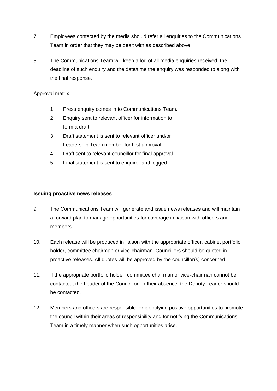- 7. Employees contacted by the media should refer all enquiries to the Communications Team in order that they may be dealt with as described above.
- 8. The Communications Team will keep a log of all media enquiries received, the deadline of such enquiry and the date/time the enquiry was responded to along with the final response.

## Approval matrix

|                | Press enquiry comes in to Communications Team.        |
|----------------|-------------------------------------------------------|
| $\overline{2}$ | Enquiry sent to relevant officer for information to   |
|                | form a draft.                                         |
| 3              | Draft statement is sent to relevant officer and/or    |
|                | Leadership Team member for first approval.            |
| 4              | Draft sent to relevant councillor for final approval. |
| 5              | Final statement is sent to enquirer and logged.       |
|                |                                                       |

## **Issuing proactive news releases**

- 9. The Communications Team will generate and issue news releases and will maintain a forward plan to manage opportunities for coverage in liaison with officers and members.
- 10. Each release will be produced in liaison with the appropriate officer, cabinet portfolio holder, committee chairman or vice-chairman. Councillors should be quoted in proactive releases. All quotes will be approved by the councillor(s) concerned.
- 11. If the appropriate portfolio holder, committee chairman or vice-chairman cannot be contacted, the Leader of the Council or, in their absence, the Deputy Leader should be contacted.
- 12. Members and officers are responsible for identifying positive opportunities to promote the council within their areas of responsibility and for notifying the Communications Team in a timely manner when such opportunities arise.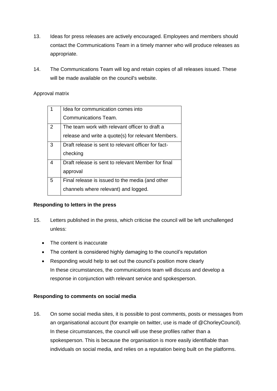- 13. Ideas for press releases are actively encouraged. Employees and members should contact the Communications Team in a timely manner who will produce releases as appropriate.
- 14. The Communications Team will log and retain copies of all releases issued. These will be made available on the council's website.

# Approval matrix

|   | Idea for communication comes into                   |
|---|-----------------------------------------------------|
|   | Communications Team.                                |
| 2 | The team work with relevant officer to draft a      |
|   | release and write a quote(s) for relevant Members.  |
| 3 | Draft release is sent to relevant officer for fact- |
|   | checking                                            |
| 4 | Draft release is sent to relevant Member for final  |
|   | approval                                            |
| 5 | Final release is issued to the media (and other     |
|   | channels where relevant) and logged.                |

## **Responding to letters in the press**

- 15. Letters published in the press, which criticise the council will be left unchallenged unless:
	- The content is inaccurate
	- The content is considered highly damaging to the council's reputation
	- Responding would help to set out the council's position more clearly In these circumstances, the communications team will discuss and develop a response in conjunction with relevant service and spokesperson.

## **Responding to comments on social media**

16. On some social media sites, it is possible to post comments, posts or messages from an organisational account (for example on twitter, use is made of @ChorleyCouncil). In these circumstances, the council will use these profiles rather than a spokesperson. This is because the organisation is more easily identifiable than individuals on social media, and relies on a reputation being built on the platforms.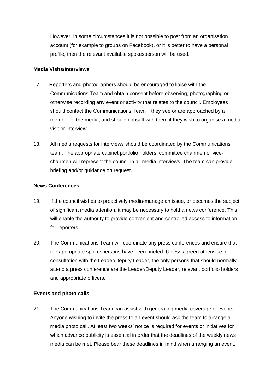However, in some circumstances it is not possible to post from an organisation account (for example to groups on Facebook), or it is better to have a personal profile, then the relevant available spokesperson will be used.

#### **Media Visits/Interviews**

- 17. Reporters and photographers should be encouraged to liaise with the Communications Team and obtain consent before observing, photographing or otherwise recording any event or activity that relates to the council. Employees should contact the Communications Team if they see or are approached by a member of the media, and should consult with them if they wish to organise a media visit or interview
- 18. All media requests for interviews should be coordinated by the Communications team. The appropriate cabinet portfolio holders, committee chairmen or vicechairmen will represent the council in all media interviews. The team can provide briefing and/or guidance on request.

#### **News Conferences**

- 19. If the council wishes to proactively media-manage an issue, or becomes the subject of significant media attention, it may be necessary to hold a news conference. This will enable the authority to provide convenient and controlled access to information for reporters.
- 20. The Communications Team will coordinate any press conferences and ensure that the appropriate spokespersons have been briefed. Unless agreed otherwise in consultation with the Leader/Deputy Leader, the only persons that should normally attend a press conference are the Leader/Deputy Leader, relevant portfolio holders and appropriate officers.

#### **Events and photo calls**

21. The Communications Team can assist with generating media coverage of events. Anyone wishing to invite the press to an event should ask the team to arrange a media photo call. At least two weeks' notice is required for events or initiatives for which advance publicity is essential in order that the deadlines of the weekly news media can be met. Please bear these deadlines in mind when arranging an event.